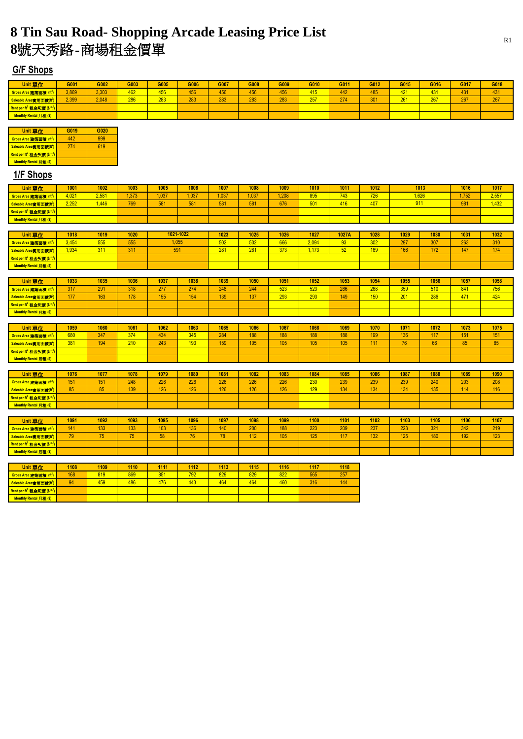| <b>Unit 單位</b>                                      | G001  | G002  | G003 | G005 | G006 | G007 | G008 | G009 | G010       | G011 | G012 | G015 | G016 | G017 | G018 |
|-----------------------------------------------------|-------|-------|------|------|------|------|------|------|------------|------|------|------|------|------|------|
| <b>Gross Area</b> 建築面積 (ft                          | 3,869 | 3,303 | 462  | 456  | 456  | 456  | 456  | 456  | 415        | 442  | 485  | 421  | 431  | 431  | 431  |
| 1實用面積()<br>Saleable Are                             | 2.399 | 2.048 | 286  | 283  | 283  | 283  | 283  | 283  | 257<br>ZU. | 274  | 301  | 261  | 267  | 267  | 267  |
| Rent per ft <sup>2</sup> 租金呎價 (\$/ft <sup>2</sup> ) |       |       |      |      |      |      |      |      |            |      |      |      |      |      |      |
| <b>Monthly Rental 月租 (\$)</b>                       |       |       |      |      |      |      |      |      |            |      |      |      |      |      |      |

| Unit 單位                                             | G019 | G020 |
|-----------------------------------------------------|------|------|
| Gross Area 建築面積 (ft <sup>2</sup> )                  | 449  |      |
| Saleable Area實用面積(ft2)                              | 274  | 19   |
| Rent per ft <sup>2</sup> 租金呎價 (\$/ft <sup>2</sup> ) |      |      |
| Monthly Rental 月租(\$)                               |      |      |

| <b>Unit 單位</b>                                      | 1033 | 1035 | 1036 | 1037 | 1038 | 1039 | 1050 | 1051 | 1052 | 1053 | 1054 | 1055 | 1056 | 1057 | 1058 |
|-----------------------------------------------------|------|------|------|------|------|------|------|------|------|------|------|------|------|------|------|
| Gross Area 建築面積 (ft <sup>2</sup> )                  | 317  | 291  | 318  | 277  | 274  | 248  | 244  | 523  | 523  | 266  | 268  | 359  | 510  | 841  | 756  |
| Saleable Area實用面積(                                  | 177  | 163  | 178  | 155  | 154  | 139  | 137  | 293  | 293  | 149  | 150  | 201  | 286  | 471  | 424  |
| Rent per ft <sup>2</sup> 租金呎價 (\$/ft <sup>2</sup> ) |      |      |      |      |      |      |      |      |      |      |      |      |      |      |      |
| Monthly Rental 月租(\$)                               |      |      |      |      |      |      |      |      |      |      |      |      |      |      |      |

| Unit 單位                                             | 1001  | 1002  | 1003 | 1005 | 1006 | 1007 | 1008 | 1009 | 1010 | 1011 | 1012 | 1013 | 1016  | 1017  |
|-----------------------------------------------------|-------|-------|------|------|------|------|------|------|------|------|------|------|-------|-------|
| <b>Gross Area</b> 建築面積 (f                           | 4,021 | 2,58' | ,373 | ,037 | ,037 | .037 | ,037 | .208 | 895  | 743  | 726  | ,626 | 1,752 | 2,557 |
| Saleable Area實用面積(ft <sup>2</sup> )                 | 2,252 | ,446  | 769  | 581  | 581  | 581  | 581  | 676  | 501  | 416  | 407  |      | 981   | 1,432 |
| Rent per ft <sup>2</sup> 租金呎價 (\$/ft <sup>2</sup> ) |       |       |      |      |      |      |      |      |      |      |      |      |       |       |
| Monthly Rental 月租 (\$)                              |       |       |      |      |      |      |      |      |      |      |      |      |       |       |

| <b>Unit 單位</b>                                      | 1059 | 1060 | 1061 | 1062 | 1063 | 1065 | 1066 | 1067 | 1068 | 1069 | 1070 | 1071                     | 1072          | 1073   | 1075 |
|-----------------------------------------------------|------|------|------|------|------|------|------|------|------|------|------|--------------------------|---------------|--------|------|
| Gross Area 建築面積 (ft <sup>2</sup> )                  | 680  | 347  | 374  | 434  | 345  | 284  | 188  | 188  | 188  | 188  | 199  | 136                      | 117           | 151    | 151  |
| Saleable Area實用面積(ft <sup>2</sup> )                 | 381  | 194  | 210  | 243  | 193  | 159  | 105  | 105  | 105  | 105  | 111  | $\overline{\phantom{a}}$ | $\sim$ $\sim$ | $\sim$ | 85   |
| Rent per ft <sup>2</sup> 租金呎價 (\$/ft <sup>2</sup> ) |      |      |      |      |      |      |      |      |      |      |      |                          |               |        |      |
| Monthly Rental 月租(\$)                               |      |      |      |      |      |      |      |      |      |      |      |                          |               |        |      |

| <b>Unit 單位</b>                                      | 1018  | 1019 | 1020 | 1021-1022 | 1023 | 1025 | 1026 | 1027  | <b>1027A</b> | 1028 | 1029 | 1030 | 1031 | 1032 |
|-----------------------------------------------------|-------|------|------|-----------|------|------|------|-------|--------------|------|------|------|------|------|
| Gross Area 建築面積 (ft <sup>2</sup> )                  | 3,454 | 555  | 555  | ,055      | 502  | 502  | 666  | 2,094 | <b>Q3</b>    | 302  | 297  | 307  | 263  | 310  |
| Saleable Area實用面積(ft <sup>2</sup> )                 | 1,934 | 311  | 311  | 591       | 281  | 281  | 373  | 1,173 | 52           | 169  | 166  | 172  | 147  | 174  |
| Rent per ft <sup>2</sup> 租金呎價 (\$/ft <sup>2</sup> ) |       |      |      |           |      |      |      |       |              |      |      |      |      |      |
| Monthly Rental 月租(\$)                               |       |      |      |           |      |      |      |       |              |      |      |      |      |      |

| <b>Unit 單位</b>                                      | 1076 | 1077       | 1078 | 1079 | 1080 | 1081 | 1082 | 1083 | 1084 | 1085 | 1086 | 1087 | 1088 | 1089 | 1090 |
|-----------------------------------------------------|------|------------|------|------|------|------|------|------|------|------|------|------|------|------|------|
| Gross Area 建築面積 (                                   | 151  | 151        | 248  | 226  | 226  | 226  | 226  | 226  | 230  | 239  | 239  | 239  | 240  | 203  | 208  |
| Saleable Area實用面積(ft <sup>2</sup> )                 | QE   | $\sim$ $-$ | 139  | 126  | 126  | 126  | 126  | 126  | 129  | 134  | 134  | 134  | 135  | 114  | 116  |
| Rent per ft <sup>2</sup> 租金呎價 (\$/ft <sup>2</sup> ) |      |            |      |      |      |      |      |      |      |      |      |      |      |      |      |
| Monthly Rental 月租(\$)                               |      |            |      |      |      |      |      |      |      |      |      |      |      |      |      |

| <b>Unit 單位</b>                                      | 1091 | 1092  | 1093       | 1095 | 1096                     | 1097            | 1098 | 1099 | 1100 | 1101 | 1102 | 1103 | 1105 | 1106 | 1107 |
|-----------------------------------------------------|------|-------|------------|------|--------------------------|-----------------|------|------|------|------|------|------|------|------|------|
| Gross Area 建築面積 (ft <sup>2</sup> )                  | 141  | 133   | 133        | 103  | 136                      | 140             | 200  | 188  | 223  | 209  | 237  | 223  | 321  | 342  | 219  |
| Saleable Area實用面積(f                                 | 70.  | $- -$ | $-$<br>ַ ש | 58   | $\overline{\phantom{a}}$ | 78 <sup>°</sup> | 112  | 105  | 125  | 117  | 132  | 125  | 180  | 192  | 123  |
| Rent per ft <sup>2</sup> 租金呎價 (\$/ft <sup>2</sup> ) |      |       |            |      |                          |                 |      |      |      |      |      |      |      |      |      |
| Monthly Rental 月租(\$)                               |      |       |            |      |                          |                 |      |      |      |      |      |      |      |      |      |

| <b>Unit 單位</b>                                      | 1108 | 1109 | 1110 | 1111 | 1112 | 1113 | 1115 | 1116 | 1117 | 1118 |
|-----------------------------------------------------|------|------|------|------|------|------|------|------|------|------|
| Gross Area 建築面積 (ft <sup>2</sup> )                  | 168  | 819  | 869  | 851  | 792  | 829  | 829  | 822  | 565  | 257  |
| Saleable Area實用面積(ft <sup>2</sup> )                 | 94   | 459  | 486  | 476  | 443  | 464  | 464  | 460  | 316  | 144  |
| Rent per ft <sup>2</sup> 租金呎價 (\$/ft <sup>2</sup> ) |      |      |      |      |      |      |      |      |      |      |
| Monthly Rental 月租(\$)                               |      |      |      |      |      |      |      |      |      |      |

#### **1/F Shops**

# **8 Tin Sau Road- Shopping Arcade Leasing Price List**

**8**號天秀路-商場租金價單

### **G/F Shops**